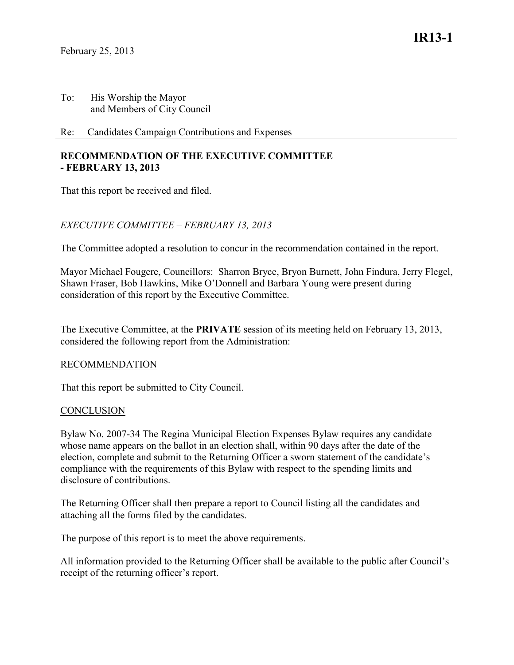## Re: Candidates Campaign Contributions and Expenses

## **RECOMMENDATION OF THE EXECUTIVE COMMITTEE - FEBRUARY 13, 2013**

That this report be received and filed.

# *EXECUTIVE COMMITTEE – FEBRUARY 13, 2013*

The Committee adopted a resolution to concur in the recommendation contained in the report.

Mayor Michael Fougere, Councillors: Sharron Bryce, Bryon Burnett, John Findura, Jerry Flegel, Shawn Fraser, Bob Hawkins, Mike O'Donnell and Barbara Young were present during consideration of this report by the Executive Committee.

The Executive Committee, at the **PRIVATE** session of its meeting held on February 13, 2013, considered the following report from the Administration:

#### RECOMMENDATION

That this report be submitted to City Council.

# **CONCLUSION**

Bylaw No. 2007-34 The Regina Municipal Election Expenses Bylaw requires any candidate whose name appears on the ballot in an election shall, within 90 days after the date of the election, complete and submit to the Returning Officer a sworn statement of the candidate's compliance with the requirements of this Bylaw with respect to the spending limits and disclosure of contributions.

The Returning Officer shall then prepare a report to Council listing all the candidates and attaching all the forms filed by the candidates.

The purpose of this report is to meet the above requirements.

All information provided to the Returning Officer shall be available to the public after Council's receipt of the returning officer's report.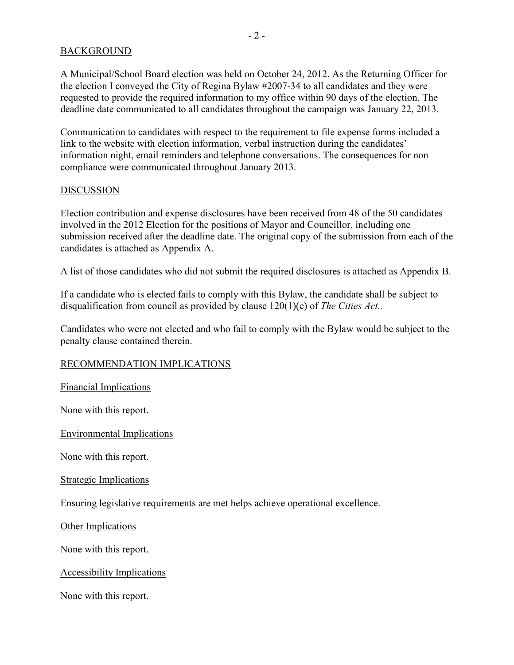## BACKGROUND

A Municipal/School Board election was held on October 24, 2012. As the Returning Officer for the election I conveyed the City of Regina Bylaw #2007-34 to all candidates and they were requested to provide the required information to my office within 90 days of the election. The deadline date communicated to all candidates throughout the campaign was January 22, 2013.

Communication to candidates with respect to the requirement to file expense forms included a link to the website with election information, verbal instruction during the candidates' information night, email reminders and telephone conversations. The consequences for non compliance were communicated throughout January 2013.

#### DISCUSSION

Election contribution and expense disclosures have been received from 48 of the 50 candidates involved in the 2012 Election for the positions of Mayor and Councillor, including one submission received after the deadline date. The original copy of the submission from each of the candidates is attached as Appendix A.

A list of those candidates who did not submit the required disclosures is attached as Appendix B.

If a candidate who is elected fails to comply with this Bylaw, the candidate shall be subject to disqualification from council as provided by clause 120(1)(e) of *The Cities Act..* 

Candidates who were not elected and who fail to comply with the Bylaw would be subject to the penalty clause contained therein.

# RECOMMENDATION IMPLICATIONS

Financial Implications

None with this report.

Environmental Implications

None with this report.

#### Strategic Implications

Ensuring legislative requirements are met helps achieve operational excellence.

Other Implications

None with this report.

#### Accessibility Implications

None with this report.